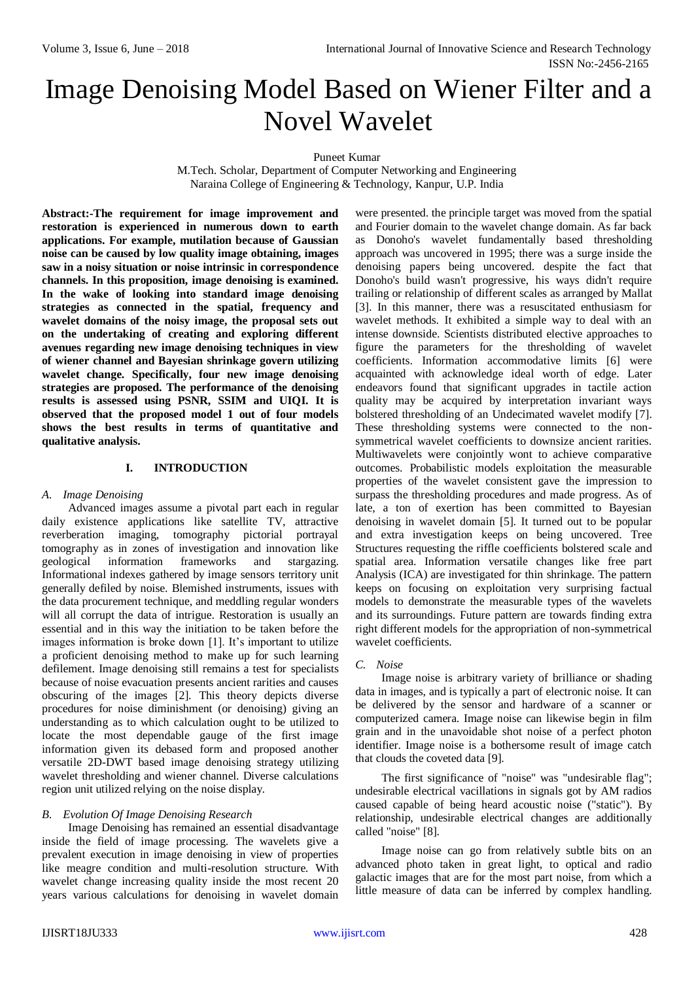# Image Denoising Model Based on Wiener Filter and a Novel Wavelet

Puneet Kumar

M.Tech. Scholar, Department of Computer Networking and Engineering Naraina College of Engineering & Technology, Kanpur, U.P. India

**Abstract:-The requirement for image improvement and restoration is experienced in numerous down to earth applications. For example, mutilation because of Gaussian noise can be caused by low quality image obtaining, images saw in a noisy situation or noise intrinsic in correspondence channels. In this proposition, image denoising is examined. In the wake of looking into standard image denoising strategies as connected in the spatial, frequency and wavelet domains of the noisy image, the proposal sets out on the undertaking of creating and exploring different avenues regarding new image denoising techniques in view of wiener channel and Bayesian shrinkage govern utilizing wavelet change. Specifically, four new image denoising strategies are proposed. The performance of the denoising results is assessed using PSNR, SSIM and UIQI. It is observed that the proposed model 1 out of four models shows the best results in terms of quantitative and qualitative analysis.**

#### **I. INTRODUCTION**

#### *A. Image Denoising*

Advanced images assume a pivotal part each in regular daily existence applications like satellite TV, attractive reverberation imaging, tomography pictorial portrayal tomography as in zones of investigation and innovation like geological information frameworks and stargazing. Informational indexes gathered by image sensors territory unit generally defiled by noise. Blemished instruments, issues with the data procurement technique, and meddling regular wonders will all corrupt the data of intrigue. Restoration is usually an essential and in this way the initiation to be taken before the images information is broke down [1]. It's important to utilize a proficient denoising method to make up for such learning defilement. Image denoising still remains a test for specialists because of noise evacuation presents ancient rarities and causes obscuring of the images [2]. This theory depicts diverse procedures for noise diminishment (or denoising) giving an understanding as to which calculation ought to be utilized to locate the most dependable gauge of the first image information given its debased form and proposed another versatile 2D-DWT based image denoising strategy utilizing wavelet thresholding and wiener channel. Diverse calculations region unit utilized relying on the noise display.

## *B. Evolution Of Image Denoising Research*

Image Denoising has remained an essential disadvantage inside the field of image processing. The wavelets give a prevalent execution in image denoising in view of properties like meagre condition and multi-resolution structure. With wavelet change increasing quality inside the most recent 20 years various calculations for denoising in wavelet domain

were presented. the principle target was moved from the spatial and Fourier domain to the wavelet change domain. As far back as Donoho's wavelet fundamentally based thresholding approach was uncovered in 1995; there was a surge inside the denoising papers being uncovered. despite the fact that Donoho's build wasn't progressive, his ways didn't require trailing or relationship of different scales as arranged by Mallat [3]. In this manner, there was a resuscitated enthusiasm for wavelet methods. It exhibited a simple way to deal with an intense downside. Scientists distributed elective approaches to figure the parameters for the thresholding of wavelet coefficients. Information accommodative limits [6] were acquainted with acknowledge ideal worth of edge. Later endeavors found that significant upgrades in tactile action quality may be acquired by interpretation invariant ways bolstered thresholding of an Undecimated wavelet modify [7]. These thresholding systems were connected to the nonsymmetrical wavelet coefficients to downsize ancient rarities. Multiwavelets were conjointly wont to achieve comparative outcomes. Probabilistic models exploitation the measurable properties of the wavelet consistent gave the impression to surpass the thresholding procedures and made progress. As of late, a ton of exertion has been committed to Bayesian denoising in wavelet domain [5]. It turned out to be popular and extra investigation keeps on being uncovered. Tree Structures requesting the riffle coefficients bolstered scale and spatial area. Information versatile changes like free part Analysis (ICA) are investigated for thin shrinkage. The pattern keeps on focusing on exploitation very surprising factual models to demonstrate the measurable types of the wavelets and its surroundings. Future pattern are towards finding extra right different models for the appropriation of non-symmetrical wavelet coefficients.

#### *C. Noise*

Image noise is arbitrary variety of brilliance or shading data in images, and is typically a part of electronic noise. It can be delivered by the sensor and hardware of a scanner or computerized camera. Image noise can likewise begin in film grain and in the unavoidable shot noise of a perfect photon identifier. Image noise is a bothersome result of image catch that clouds the coveted data [9].

The first significance of "noise" was "undesirable flag"; undesirable electrical vacillations in signals got by AM radios caused capable of being heard acoustic noise ("static"). By relationship, undesirable electrical changes are additionally called "noise" [8].

Image noise can go from relatively subtle bits on an advanced photo taken in great light, to optical and radio galactic images that are for the most part noise, from which a little measure of data can be inferred by complex handling.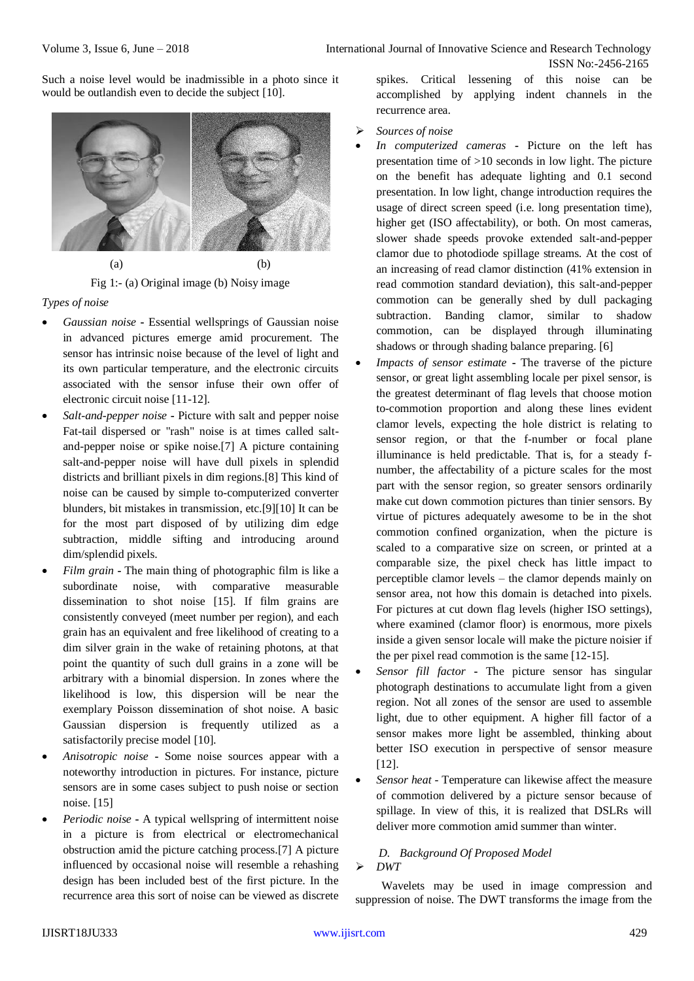Such a noise level would be inadmissible in a photo since it would be outlandish even to decide the subject [10].



Fig 1:- (a) Original image (b) Noisy image

## *Types of noise*

- *Gaussian noise* **-** Essential wellsprings of Gaussian noise in advanced pictures emerge amid procurement. The sensor has intrinsic noise because of the level of light and its own particular temperature, and the electronic circuits associated with the sensor infuse their own offer of electronic circuit noise [11-12].
- *Salt-and-pepper noise* **-** Picture with salt and pepper noise Fat-tail dispersed or "rash" noise is at times called saltand-pepper noise or spike noise.[7] A picture containing salt-and-pepper noise will have dull pixels in splendid districts and brilliant pixels in dim regions.[8] This kind of noise can be caused by simple to-computerized converter blunders, bit mistakes in transmission, etc.[9][10] It can be for the most part disposed of by utilizing dim edge subtraction, middle sifting and introducing around dim/splendid pixels.
- *Film grain* **-** The main thing of photographic film is like a subordinate noise, with comparative measurable dissemination to shot noise [15]. If film grains are consistently conveyed (meet number per region), and each grain has an equivalent and free likelihood of creating to a dim silver grain in the wake of retaining photons, at that point the quantity of such dull grains in a zone will be arbitrary with a binomial dispersion. In zones where the likelihood is low, this dispersion will be near the exemplary Poisson dissemination of shot noise. A basic Gaussian dispersion is frequently utilized as a satisfactorily precise model [10].
- *Anisotropic noise* **-** Some noise sources appear with a noteworthy introduction in pictures. For instance, picture sensors are in some cases subject to push noise or section noise. [15]
- *Periodic noise* **-** A typical wellspring of intermittent noise in a picture is from electrical or electromechanical obstruction amid the picture catching process.[7] A picture influenced by occasional noise will resemble a rehashing design has been included best of the first picture. In the recurrence area this sort of noise can be viewed as discrete

spikes. Critical lessening of this noise can be accomplished by applying indent channels in the recurrence area.

- *Sources of noise*
- *In computerized cameras* **-** Picture on the left has presentation time of >10 seconds in low light. The picture on the benefit has adequate lighting and 0.1 second presentation. In low light, change introduction requires the usage of direct screen speed (i.e. long presentation time), higher get (ISO affectability), or both. On most cameras, slower shade speeds provoke extended salt-and-pepper clamor due to photodiode spillage streams. At the cost of an increasing of read clamor distinction (41% extension in read commotion standard deviation), this salt-and-pepper commotion can be generally shed by dull packaging subtraction. Banding clamor, similar to shadow commotion, can be displayed through illuminating shadows or through shading balance preparing. [6]
- *Impacts of sensor estimate* **-** The traverse of the picture sensor, or great light assembling locale per pixel sensor, is the greatest determinant of flag levels that choose motion to-commotion proportion and along these lines evident clamor levels, expecting the hole district is relating to sensor region, or that the f-number or focal plane illuminance is held predictable. That is, for a steady fnumber, the affectability of a picture scales for the most part with the sensor region, so greater sensors ordinarily make cut down commotion pictures than tinier sensors. By virtue of pictures adequately awesome to be in the shot commotion confined organization, when the picture is scaled to a comparative size on screen, or printed at a comparable size, the pixel check has little impact to perceptible clamor levels – the clamor depends mainly on sensor area, not how this domain is detached into pixels. For pictures at cut down flag levels (higher ISO settings), where examined (clamor floor) is enormous, more pixels inside a given sensor locale will make the picture noisier if the per pixel read commotion is the same [12-15].
- *Sensor fill factor* **-** The picture sensor has singular photograph destinations to accumulate light from a given region. Not all zones of the sensor are used to assemble light, due to other equipment. A higher fill factor of a sensor makes more light be assembled, thinking about better ISO execution in perspective of sensor measure [12].
- *Sensor heat -* Temperature can likewise affect the measure of commotion delivered by a picture sensor because of spillage. In view of this, it is realized that DSLRs will deliver more commotion amid summer than winter.

### *D. Background Of Proposed Model DWT*

Wavelets may be used in image compression and suppression of noise. The DWT transforms the image from the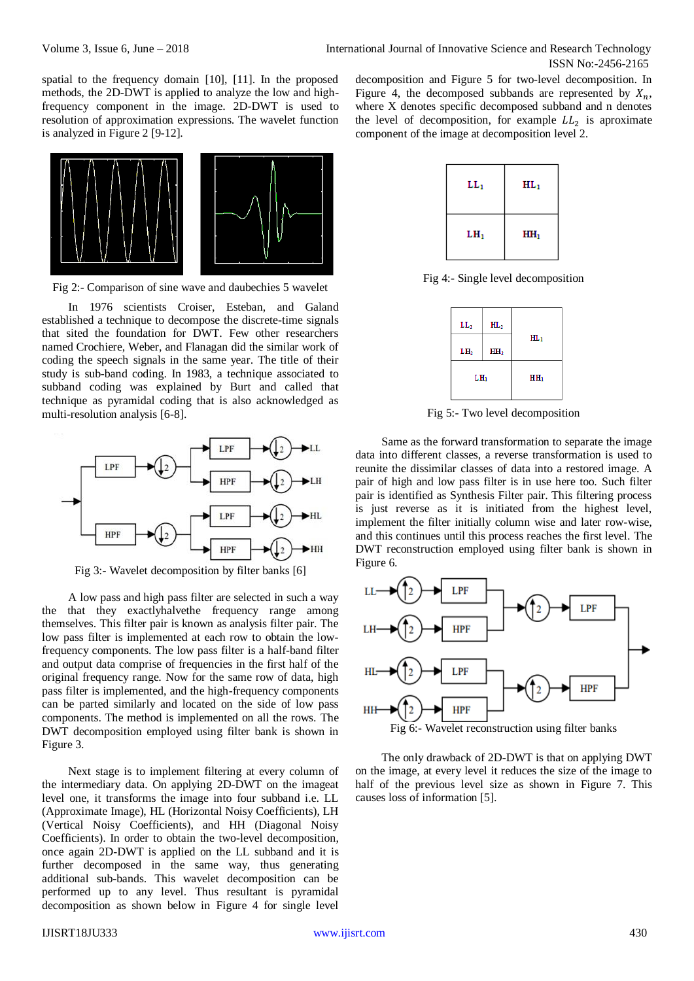spatial to the frequency domain [10], [11]. In the proposed methods, the 2D-DWT is applied to analyze the low and highfrequency component in the image. 2D-DWT is used to resolution of approximation expressions. The wavelet function is analyzed in Figure 2 [9-12].



Fig 2:- Comparison of sine wave and daubechies 5 wavelet

In 1976 scientists Croiser, Esteban, and Galand established a technique to decompose the discrete-time signals that sited the foundation for DWT. Few other researchers named Crochiere, Weber, and Flanagan did the similar work of coding the speech signals in the same year. The title of their study is sub-band coding. In 1983, a technique associated to subband coding was explained by Burt and called that technique as pyramidal coding that is also acknowledged as multi-resolution analysis [6-8].



Fig 3:- Wavelet decomposition by filter banks [6]

A low pass and high pass filter are selected in such a way the that they exactlyhalvethe frequency range among themselves. This filter pair is known as analysis filter pair. The low pass filter is implemented at each row to obtain the lowfrequency components. The low pass filter is a half-band filter and output data comprise of frequencies in the first half of the original frequency range. Now for the same row of data, high pass filter is implemented, and the high-frequency components can be parted similarly and located on the side of low pass components. The method is implemented on all the rows. The DWT decomposition employed using filter bank is shown in Figure 3.

Next stage is to implement filtering at every column of the intermediary data. On applying 2D-DWT on the imageat level one, it transforms the image into four subband i.e. LL (Approximate Image), HL (Horizontal Noisy Coefficients), LH (Vertical Noisy Coefficients), and HH (Diagonal Noisy Coefficients). In order to obtain the two-level decomposition, once again 2D-DWT is applied on the LL subband and it is further decomposed in the same way, thus generating additional sub-bands. This wavelet decomposition can be performed up to any level. Thus resultant is pyramidal decomposition as shown below in Figure 4 for single level decomposition and Figure 5 for two-level decomposition. In Figure 4, the decomposed subbands are represented by  $X_n$ , where X denotes specific decomposed subband and n denotes the level of decomposition, for example  $LL_2$  is aproximate component of the image at decomposition level 2.



Fig 4:- Single level decomposition



Fig 5:- Two level decomposition

Same as the forward transformation to separate the image data into different classes, a reverse transformation is used to reunite the dissimilar classes of data into a restored image. A pair of high and low pass filter is in use here too. Such filter pair is identified as Synthesis Filter pair. This filtering process is just reverse as it is initiated from the highest level, implement the filter initially column wise and later row-wise, and this continues until this process reaches the first level. The DWT reconstruction employed using filter bank is shown in Figure 6.



The only drawback of 2D-DWT is that on applying DWT on the image, at every level it reduces the size of the image to half of the previous level size as shown in Figure 7. This causes loss of information [5].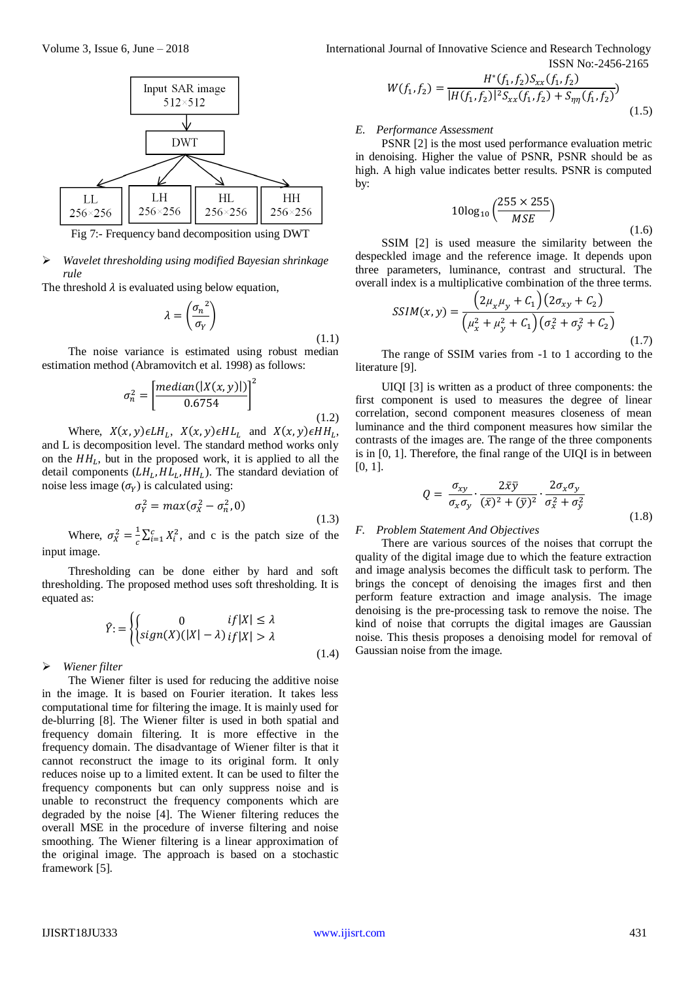

Fig 7:- Frequency band decomposition using DWT

#### *Wavelet thresholding using modified Bayesian shrinkage rule*

The threshold  $\lambda$  is evaluated using below equation,

$$
\lambda = \left(\frac{{\sigma_n}^2}{{\sigma_Y}}\right)
$$

$$
(1.1)
$$

(1.4)

The noise variance is estimated using robust median estimation method (Abramovitch et al. 1998) as follows:

$$
\sigma_n^2 = \left[\frac{median(|X(x, y)|)}{0.6754}\right]^2\tag{1.2}
$$

Where,  $X(x, y) \in LH_L$ ,  $X(x, y) \in HL_L$  and  $X(x, y) \in HH_L$ , and L is decomposition level. The standard method works only on the  $HH_L$ , but in the proposed work, it is applied to all the detail components  $(LH_L, HL_L, HH_L)$ . The standard deviation of noise less image  $(\sigma_Y)$  is calculated using:

$$
\sigma_Y^2 = \max(\sigma_X^2 - \sigma_n^2, 0) \tag{1.3}
$$

Where,  $\sigma_X^2 = \frac{1}{c}$  $\frac{1}{c} \sum_{i=1}^{c} X_i^2$ , and c is the patch size of the input image.

Thresholding can be done either by hard and soft thresholding. The proposed method uses soft thresholding. It is equated as:

$$
\hat{Y} := \begin{cases}\n0 & if |X| \leq \lambda \\
sign(X)(|X| - \lambda) & if |X| > \lambda\n\end{cases}
$$

#### *Wiener filter*

The Wiener filter is used for reducing the additive noise in the image. It is based on Fourier iteration. It takes less computational time for filtering the image. It is mainly used for de-blurring [8]. The Wiener filter is used in both spatial and frequency domain filtering. It is more effective in the frequency domain. The disadvantage of Wiener filter is that it cannot reconstruct the image to its original form. It only reduces noise up to a limited extent. It can be used to filter the frequency components but can only suppress noise and is unable to reconstruct the frequency components which are degraded by the noise [4]. The Wiener filtering reduces the overall MSE in the procedure of inverse filtering and noise smoothing. The Wiener filtering is a linear approximation of the original image. The approach is based on a stochastic framework [5].

Volume 3, Issue 6, June – 2018 **International Journal of Innovative Science and Research Technology** ISSN No:-2456-2165

$$
W(f_1, f_2) = \frac{H^*(f_1, f_2)S_{xx}(f_1, f_2)}{|H(f_1, f_2)|^2 S_{xx}(f_1, f_2) + S_{\eta\eta}(f_1, f_2)}
$$
(1.5)

#### *E. Performance Assessment*

PSNR [2] is the most used performance evaluation metric in denoising. Higher the value of PSNR, PSNR should be as high. A high value indicates better results. PSNR is computed by:

$$
10\log_{10}\left(\frac{255 \times 255}{MSE}\right)
$$
\n(1.6)

\nused measures the similarity between the

SSIM [2] is used measure the similarity between the despeckled image and the reference image. It depends upon three parameters, luminance, contrast and structural. The overall index is a multiplicative combination of the three terms.

$$
SSIM(x, y) = \frac{\left(2\mu_x\mu_y + C_1\right)\left(2\sigma_{xy} + C_2\right)}{\left(\mu_x^2 + \mu_y^2 + C_1\right)\left(\sigma_x^2 + \sigma_y^2 + C_2\right)}
$$
\n(1.7)

The range of SSIM varies from -1 to 1 according to the literature [9].

UIQI [3] is written as a product of three components: the first component is used to measures the degree of linear correlation, second component measures closeness of mean luminance and the third component measures how similar the contrasts of the images are. The range of the three components is in [0, 1]. Therefore, the final range of the UIQI is in between [0, 1].

$$
Q = \frac{\sigma_{xy}}{\sigma_x \sigma_y} \cdot \frac{2\bar{x}\bar{y}}{(\bar{x})^2 + (\bar{y})^2} \cdot \frac{2\sigma_x \sigma_y}{\sigma_x^2 + \sigma_y^2}
$$
(1.8)

### *F. Problem Statement And Objectives*

There are various sources of the noises that corrupt the quality of the digital image due to which the feature extraction and image analysis becomes the difficult task to perform. The brings the concept of denoising the images first and then perform feature extraction and image analysis. The image denoising is the pre-processing task to remove the noise. The kind of noise that corrupts the digital images are Gaussian noise. This thesis proposes a denoising model for removal of Gaussian noise from the image.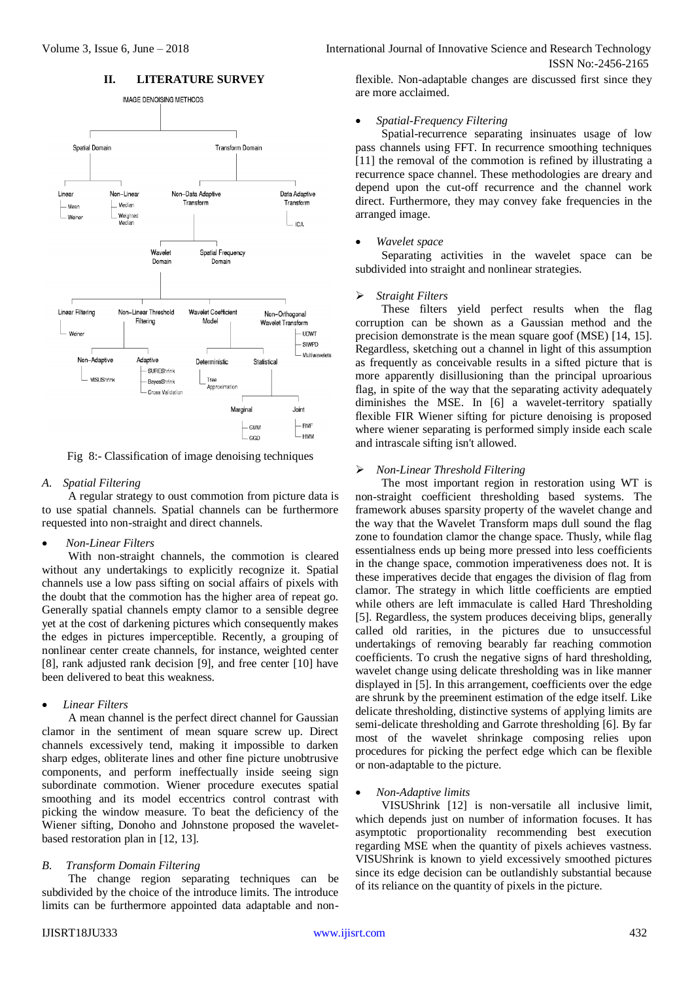

### **II. LITERATURE SURVEY**

Fig 8:- Classification of image denoising techniques

#### *A. Spatial Filtering*

A regular strategy to oust commotion from picture data is to use spatial channels. Spatial channels can be furthermore requested into non-straight and direct channels.

*Non-Linear Filters* 

With non-straight channels, the commotion is cleared without any undertakings to explicitly recognize it. Spatial channels use a low pass sifting on social affairs of pixels with the doubt that the commotion has the higher area of repeat go. Generally spatial channels empty clamor to a sensible degree yet at the cost of darkening pictures which consequently makes the edges in pictures imperceptible. Recently, a grouping of nonlinear center create channels, for instance, weighted center [8], rank adjusted rank decision [9], and free center [10] have been delivered to beat this weakness.

### *Linear Filters*

A mean channel is the perfect direct channel for Gaussian clamor in the sentiment of mean square screw up. Direct channels excessively tend, making it impossible to darken sharp edges, obliterate lines and other fine picture unobtrusive components, and perform ineffectually inside seeing sign subordinate commotion. Wiener procedure executes spatial smoothing and its model eccentrics control contrast with picking the window measure. To beat the deficiency of the Wiener sifting, Donoho and Johnstone proposed the waveletbased restoration plan in [12, 13].

#### *B. Transform Domain Filtering*

The change region separating techniques can be subdivided by the choice of the introduce limits. The introduce limits can be furthermore appointed data adaptable and non-

Volume 3, Issue 6, June – 2018 **International Journal of Innovative Science and Research Technology** ISSN No:-2456-2165

> flexible. Non-adaptable changes are discussed first since they are more acclaimed.

#### *Spatial-Frequency Filtering*

Spatial-recurrence separating insinuates usage of low pass channels using FFT. In recurrence smoothing techniques [11] the removal of the commotion is refined by illustrating a recurrence space channel. These methodologies are dreary and depend upon the cut-off recurrence and the channel work direct. Furthermore, they may convey fake frequencies in the arranged image.

#### *Wavelet space*

Separating activities in the wavelet space can be subdivided into straight and nonlinear strategies.

#### *Straight Filters*

These filters yield perfect results when the flag corruption can be shown as a Gaussian method and the precision demonstrate is the mean square goof (MSE) [14, 15]. Regardless, sketching out a channel in light of this assumption as frequently as conceivable results in a sifted picture that is more apparently disillusioning than the principal uproarious flag, in spite of the way that the separating activity adequately diminishes the MSE. In [6] a wavelet-territory spatially flexible FIR Wiener sifting for picture denoising is proposed where wiener separating is performed simply inside each scale and intrascale sifting isn't allowed.

#### *Non-Linear Threshold Filtering*

The most important region in restoration using WT is non-straight coefficient thresholding based systems. The framework abuses sparsity property of the wavelet change and the way that the Wavelet Transform maps dull sound the flag zone to foundation clamor the change space. Thusly, while flag essentialness ends up being more pressed into less coefficients in the change space, commotion imperativeness does not. It is these imperatives decide that engages the division of flag from clamor. The strategy in which little coefficients are emptied while others are left immaculate is called Hard Thresholding [5]. Regardless, the system produces deceiving blips, generally called old rarities, in the pictures due to unsuccessful undertakings of removing bearably far reaching commotion coefficients. To crush the negative signs of hard thresholding, wavelet change using delicate thresholding was in like manner displayed in [5]. In this arrangement, coefficients over the edge are shrunk by the preeminent estimation of the edge itself. Like delicate thresholding, distinctive systems of applying limits are semi-delicate thresholding and Garrote thresholding [6]. By far most of the wavelet shrinkage composing relies upon procedures for picking the perfect edge which can be flexible or non-adaptable to the picture.

## *Non-Adaptive limits*

VISUShrink [12] is non-versatile all inclusive limit, which depends just on number of information focuses. It has asymptotic proportionality recommending best execution regarding MSE when the quantity of pixels achieves vastness. VISUShrink is known to yield excessively smoothed pictures since its edge decision can be outlandishly substantial because of its reliance on the quantity of pixels in the picture.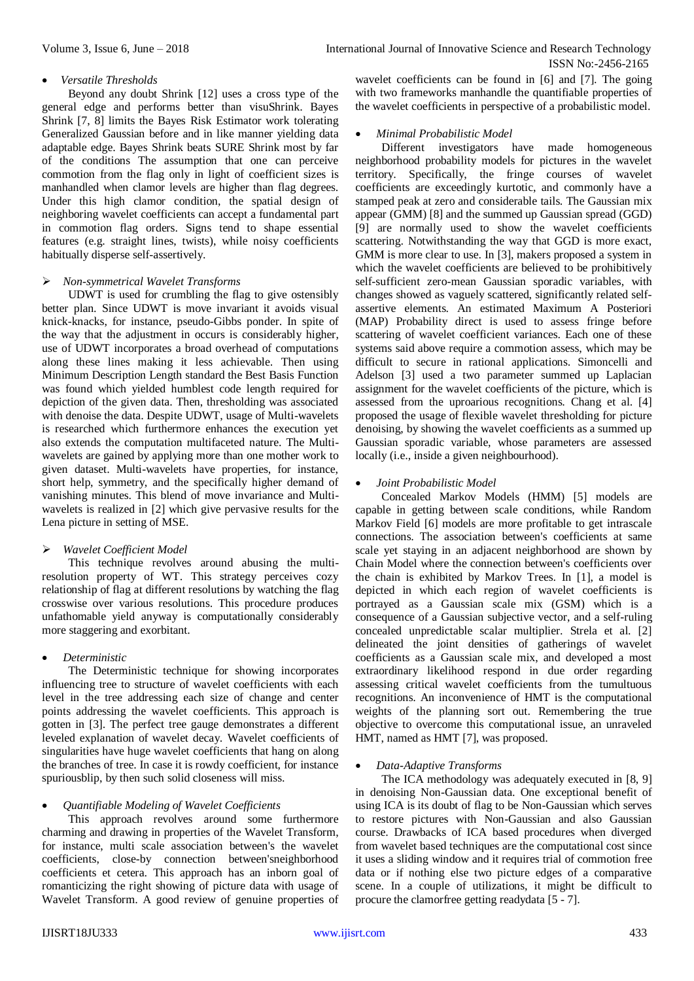## *Versatile Thresholds*

Beyond any doubt Shrink [12] uses a cross type of the general edge and performs better than visuShrink. Bayes Shrink [7, 8] limits the Bayes Risk Estimator work tolerating Generalized Gaussian before and in like manner yielding data adaptable edge. Bayes Shrink beats SURE Shrink most by far of the conditions The assumption that one can perceive commotion from the flag only in light of coefficient sizes is manhandled when clamor levels are higher than flag degrees. Under this high clamor condition, the spatial design of neighboring wavelet coefficients can accept a fundamental part in commotion flag orders. Signs tend to shape essential features (e.g. straight lines, twists), while noisy coefficients habitually disperse self-assertively.

### *Non-symmetrical Wavelet Transforms*

UDWT is used for crumbling the flag to give ostensibly better plan. Since UDWT is move invariant it avoids visual knick-knacks, for instance, pseudo-Gibbs ponder. In spite of the way that the adjustment in occurs is considerably higher, use of UDWT incorporates a broad overhead of computations along these lines making it less achievable. Then using Minimum Description Length standard the Best Basis Function was found which yielded humblest code length required for depiction of the given data. Then, thresholding was associated with denoise the data. Despite UDWT, usage of Multi-wavelets is researched which furthermore enhances the execution yet also extends the computation multifaceted nature. The Multiwavelets are gained by applying more than one mother work to given dataset. Multi-wavelets have properties, for instance, short help, symmetry, and the specifically higher demand of vanishing minutes. This blend of move invariance and Multiwavelets is realized in [2] which give pervasive results for the Lena picture in setting of MSE.

## *Wavelet Coefficient Model*

This technique revolves around abusing the multiresolution property of WT. This strategy perceives cozy relationship of flag at different resolutions by watching the flag crosswise over various resolutions. This procedure produces unfathomable yield anyway is computationally considerably more staggering and exorbitant.

## *Deterministic*

The Deterministic technique for showing incorporates influencing tree to structure of wavelet coefficients with each level in the tree addressing each size of change and center points addressing the wavelet coefficients. This approach is gotten in [3]. The perfect tree gauge demonstrates a different leveled explanation of wavelet decay. Wavelet coefficients of singularities have huge wavelet coefficients that hang on along the branches of tree. In case it is rowdy coefficient, for instance spuriousblip, by then such solid closeness will miss.

## *Quantifiable Modeling of Wavelet Coefficients*

This approach revolves around some furthermore charming and drawing in properties of the Wavelet Transform, for instance, multi scale association between's the wavelet coefficients, close-by connection between'sneighborhood coefficients et cetera. This approach has an inborn goal of romanticizing the right showing of picture data with usage of Wavelet Transform. A good review of genuine properties of wavelet coefficients can be found in [6] and [7]. The going with two frameworks manhandle the quantifiable properties of the wavelet coefficients in perspective of a probabilistic model.

### *Minimal Probabilistic Model*

Different investigators have made homogeneous neighborhood probability models for pictures in the wavelet territory. Specifically, the fringe courses of wavelet coefficients are exceedingly kurtotic, and commonly have a stamped peak at zero and considerable tails. The Gaussian mix appear (GMM) [8] and the summed up Gaussian spread (GGD) [9] are normally used to show the wavelet coefficients scattering. Notwithstanding the way that GGD is more exact, GMM is more clear to use. In [3], makers proposed a system in which the wavelet coefficients are believed to be prohibitively self-sufficient zero-mean Gaussian sporadic variables, with changes showed as vaguely scattered, significantly related selfassertive elements. An estimated Maximum A Posteriori (MAP) Probability direct is used to assess fringe before scattering of wavelet coefficient variances. Each one of these systems said above require a commotion assess, which may be difficult to secure in rational applications. Simoncelli and Adelson [3] used a two parameter summed up Laplacian assignment for the wavelet coefficients of the picture, which is assessed from the uproarious recognitions. Chang et al. [4] proposed the usage of flexible wavelet thresholding for picture denoising, by showing the wavelet coefficients as a summed up Gaussian sporadic variable, whose parameters are assessed locally (i.e., inside a given neighbourhood).

### *Joint Probabilistic Model*

Concealed Markov Models (HMM) [5] models are capable in getting between scale conditions, while Random Markov Field [6] models are more profitable to get intrascale connections. The association between's coefficients at same scale yet staying in an adjacent neighborhood are shown by Chain Model where the connection between's coefficients over the chain is exhibited by Markov Trees. In [1], a model is depicted in which each region of wavelet coefficients is portrayed as a Gaussian scale mix (GSM) which is a consequence of a Gaussian subjective vector, and a self-ruling concealed unpredictable scalar multiplier. Strela et al. [2] delineated the joint densities of gatherings of wavelet coefficients as a Gaussian scale mix, and developed a most extraordinary likelihood respond in due order regarding assessing critical wavelet coefficients from the tumultuous recognitions. An inconvenience of HMT is the computational weights of the planning sort out. Remembering the true objective to overcome this computational issue, an unraveled HMT, named as HMT [7], was proposed.

#### *Data-Adaptive Transforms*

The ICA methodology was adequately executed in [8, 9] in denoising Non-Gaussian data. One exceptional benefit of using ICA is its doubt of flag to be Non-Gaussian which serves to restore pictures with Non-Gaussian and also Gaussian course. Drawbacks of ICA based procedures when diverged from wavelet based techniques are the computational cost since it uses a sliding window and it requires trial of commotion free data or if nothing else two picture edges of a comparative scene. In a couple of utilizations, it might be difficult to procure the clamorfree getting readydata [5 - 7].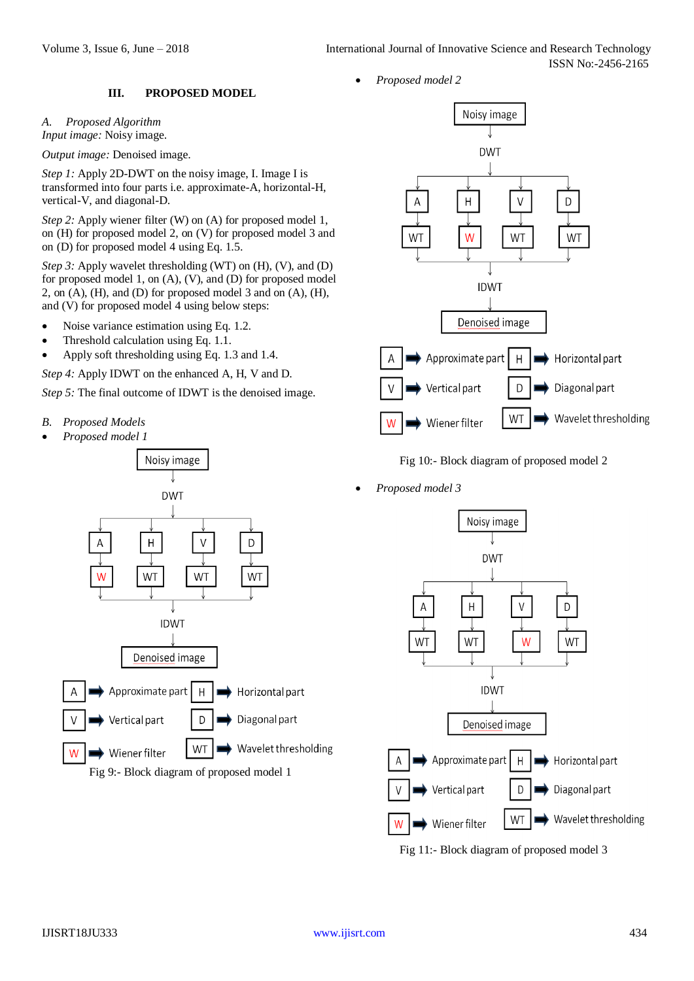## **III. PROPOSED MODEL**

*A. Proposed Algorithm Input image:* Noisy image.

*Output image:* Denoised image.

*Step 1:* Apply 2D-DWT on the noisy image, I. Image I is transformed into four parts i.e. approximate-A, horizontal-H, vertical-V, and diagonal-D.

*Step 2:* Apply wiener filter (W) on (A) for proposed model 1, on (H) for proposed model 2, on (V) for proposed model 3 and on (D) for proposed model 4 using Eq. 1.5.

*Step 3:* Apply wavelet thresholding (WT) on (H), (V), and (D) for proposed model 1, on (A), (V), and (D) for proposed model 2, on (A), (H), and (D) for proposed model 3 and on (A), (H), and (V) for proposed model 4 using below steps:

- Noise variance estimation using Eq. 1.2.
- Threshold calculation using Eq. 1.1.
- Apply soft thresholding using Eq. 1.3 and 1.4.

*Step 4:* Apply IDWT on the enhanced A, H, V and D.

*Step 5:* The final outcome of IDWT is the denoised image.

- *B. Proposed Models*
- *Proposed model 1*





Fig 10:- Block diagram of proposed model 2

*Proposed model 3*



Fig 11:- Block diagram of proposed model 3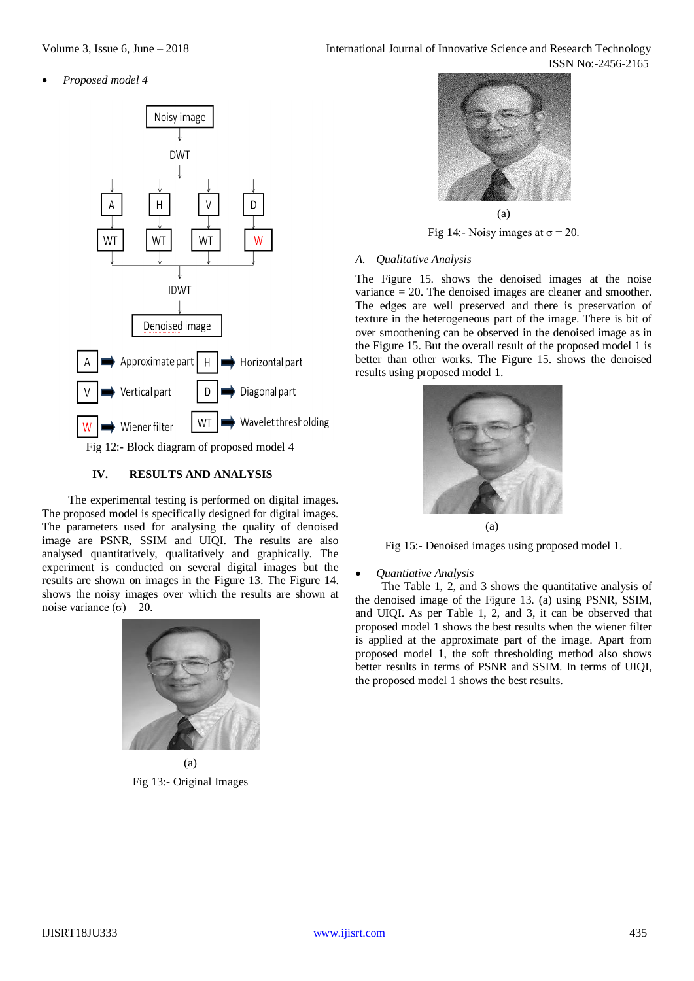*Proposed model 4*



## **IV. RESULTS AND ANALYSIS**

The experimental testing is performed on digital images. The proposed model is specifically designed for digital images. The parameters used for analysing the quality of denoised image are PSNR, SSIM and UIQI. The results are also analysed quantitatively, qualitatively and graphically. The experiment is conducted on several digital images but the results are shown on images in the Figure 13. The Figure 14. shows the noisy images over which the results are shown at noise variance (σ) = 20.



(a) Fig 13:- Original Images



Fig 14:- Noisy images at  $\sigma$  = 20.

### *A. Qualitative Analysis*

The Figure 15. shows the denoised images at the noise variance = 20. The denoised images are cleaner and smoother. The edges are well preserved and there is preservation of texture in the heterogeneous part of the image. There is bit of over smoothening can be observed in the denoised image as in the Figure 15. But the overall result of the proposed model 1 is better than other works. The Figure 15. shows the denoised results using proposed model 1.



(a)

Fig 15:- Denoised images using proposed model 1.

#### *Quantiative Analysis*

The Table 1, 2, and 3 shows the quantitative analysis of the denoised image of the Figure 13. (a) using PSNR, SSIM, and UIQI. As per Table 1, 2, and 3, it can be observed that proposed model 1 shows the best results when the wiener filter is applied at the approximate part of the image. Apart from proposed model 1, the soft thresholding method also shows better results in terms of PSNR and SSIM. In terms of UIQI, the proposed model 1 shows the best results.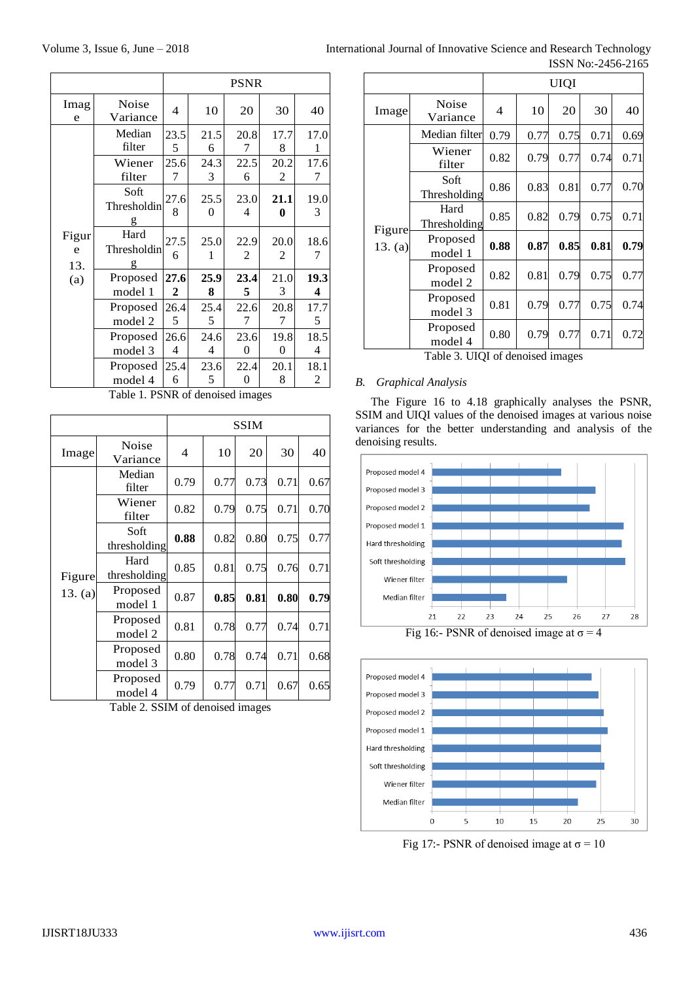|                          |                          | <b>PSNR</b>          |           |                        |           |           |
|--------------------------|--------------------------|----------------------|-----------|------------------------|-----------|-----------|
| Imag<br>e                | <b>Noise</b><br>Variance | 4                    | 10        | 20                     | 30        | 40        |
| Figur<br>e<br>13.<br>(a) | Median<br>filter         | 23.5<br>5            | 21.5<br>6 | 20.8<br>7              | 17.7<br>8 | 17.0<br>1 |
|                          | Wiener<br>filter         | 25.6<br>7            | 24.3<br>3 | 22.5<br>6              | 20.2<br>2 | 17.6<br>7 |
|                          | Soft<br>Thresholdin<br>g | 27.6<br>8            | 25.5<br>0 | 23.0<br>$\overline{4}$ | 21.1<br>0 | 19.0<br>3 |
|                          | Hard<br>Thresholdin<br>g | 27.5<br>6            | 25.0<br>1 | 22.9<br>2              | 20.0<br>2 | 18.6<br>7 |
|                          | Proposed<br>model 1      | 27.6<br>$\mathbf{2}$ | 25.9<br>8 | 23.4<br>5              | 21.0<br>3 | 19.3<br>4 |
|                          | Proposed<br>model 2      | 26.4<br>5            | 25.4<br>5 | 22.6<br>7              | 20.8<br>7 | 17.7<br>5 |
|                          | Proposed<br>model 3      | 26.6<br>4            | 24.6<br>4 | 23.6<br>0              | 19.8<br>0 | 18.5<br>4 |
|                          | Proposed<br>model 4      | 25.4<br>6            | 23.6<br>5 | 22.4<br>0              | 20.1<br>8 | 18.1<br>2 |

Table 1. PSNR of denoised images

|                   |                      | SSIM |      |      |      |      |
|-------------------|----------------------|------|------|------|------|------|
| Image             | Noise<br>Variance    | 4    | 10   | 20   | 30   | 40   |
| Figure<br>13. (a) | Median<br>filter     | 0.79 | 0.77 | 0.73 | 0.71 | 0.67 |
|                   | Wiener<br>filter     | 0.82 | 0.79 | 0.75 | 0.71 | 0.70 |
|                   | Soft<br>thresholding | 0.88 | 0.82 | 0.80 | 0.75 | 0.77 |
|                   | Hard<br>thresholding | 0.85 | 0.81 | 0.75 | 0.76 | 0.71 |
|                   | Proposed<br>model 1  | 0.87 | 0.85 | 0.81 | 0.80 | 0.79 |
|                   | Proposed<br>model 2  | 0.81 | 0.78 | 0.77 | 0.74 | 0.71 |
|                   | Proposed<br>model 3  | 0.80 | 0.78 | 0.74 | 0.71 | 0.68 |
|                   | Proposed<br>model 4  | 0.79 | 0.77 | 0.71 | 0.67 | 0.65 |

Table 2. SSIM of denoised images

| International Journal of Innovative Science and Research Technology |                    |  |
|---------------------------------------------------------------------|--------------------|--|
|                                                                     | ISSN No:-2456-2165 |  |

|                   | LOOIN INU.-2490-210. |      |      |      |      |      |
|-------------------|----------------------|------|------|------|------|------|
|                   |                      | UIQI |      |      |      |      |
| Image             | Noise<br>Variance    | 4    | 10   | 20   | 30   | 40   |
| Figure<br>13. (a) | Median filter        | 0.79 | 0.77 | 0.75 | 0.71 | 0.69 |
|                   | Wiener<br>filter     | 0.82 | 0.79 | 0.77 | 0.74 | 0.71 |
|                   | Soft<br>Thresholding | 0.86 | 0.83 | 0.81 | 0.77 | 0.70 |
|                   | Hard<br>Thresholding | 0.85 | 0.82 | 0.79 | 0.75 | 0.71 |
|                   | Proposed<br>model 1  | 0.88 | 0.87 | 0.85 | 0.81 | 0.79 |
|                   | Proposed<br>model 2  | 0.82 | 0.81 | 0.79 | 0.75 | 0.77 |
|                   | Proposed<br>model 3  | 0.81 | 0.79 | 0.77 | 0.75 | 0.74 |
|                   | Proposed<br>model 4  | 0.80 | 0.79 | 0.77 | 0.71 | 0.72 |

Table 3. UIQI of denoised images

## *B. Graphical Analysis*

The Figure 16 to 4.18 graphically analyses the PSNR, SSIM and UIQI values of the denoised images at various noise variances for the better understanding and analysis of the denoising results.



Fig 16:- PSNR of denoised image at  $\sigma = 4$ 



Fig 17:- PSNR of denoised image at  $\sigma = 10$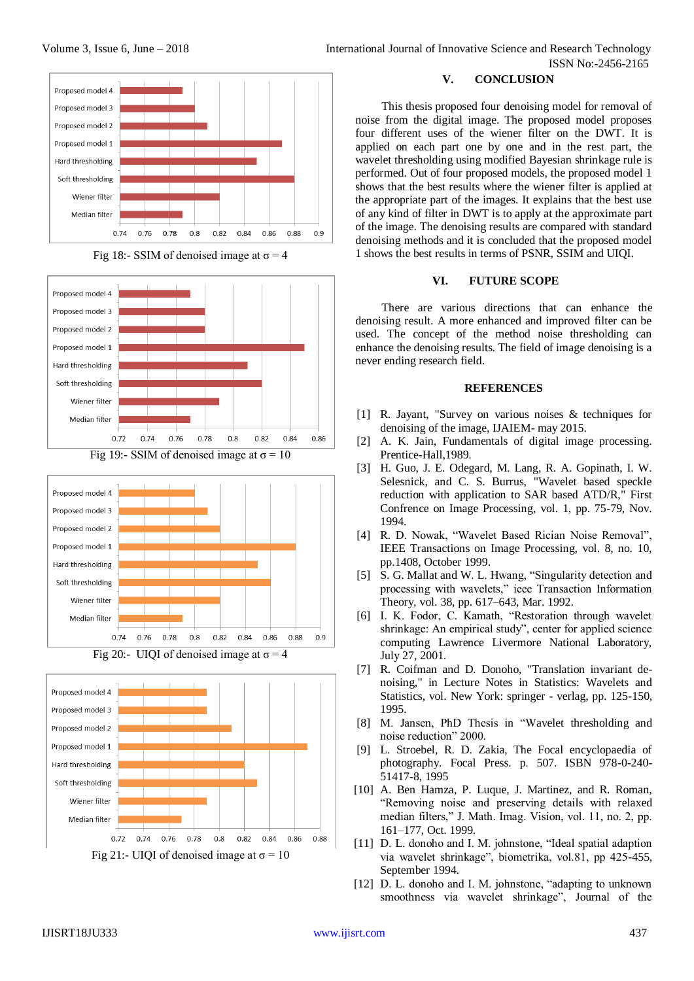#### Proposed model 4 Proposed model 3 Proposed model 2 Proposed model 1 Hard thresholding Soft thresholding Wiener filter Median filter 0.76 0.78  $0.8$ 0.82 0.84 0.86 0.88  $0.9$ 0.74











## **V. CONCLUSION**

This thesis proposed four denoising model for removal of noise from the digital image. The proposed model proposes four different uses of the wiener filter on the DWT. It is applied on each part one by one and in the rest part, the wavelet thresholding using modified Bayesian shrinkage rule is performed. Out of four proposed models, the proposed model 1 shows that the best results where the wiener filter is applied at the appropriate part of the images. It explains that the best use of any kind of filter in DWT is to apply at the approximate part of the image. The denoising results are compared with standard denoising methods and it is concluded that the proposed model 1 shows the best results in terms of PSNR, SSIM and UIQI.

## **VI. FUTURE SCOPE**

There are various directions that can enhance the denoising result. A more enhanced and improved filter can be used. The concept of the method noise thresholding can enhance the denoising results. The field of image denoising is a never ending research field.

## **REFERENCES**

- [1] R. Jayant, "Survey on various noises & techniques for denoising of the image, IJAIEM- may 2015.
- [2] A. K. Jain, Fundamentals of digital image processing. Prentice-Hall,1989.
- [3] H. Guo, J. E. Odegard, M. Lang, R. A. Gopinath, I. W. Selesnick, and C. S. Burrus, "Wavelet based speckle reduction with application to SAR based ATD/R," First Confrence on Image Processing, vol. 1, pp. 75-79, Nov. 1994.
- [4] R. D. Nowak, "Wavelet Based Rician Noise Removal", IEEE Transactions on Image Processing, vol. 8, no. 10, pp.1408, October 1999.
- [5] S. G. Mallat and W. L. Hwang, "Singularity detection and processing with wavelets," ieee Transaction Information Theory, vol. 38, pp. 617–643, Mar. 1992.
- [6] I. K. Fodor, C. Kamath, "Restoration through wavelet shrinkage: An empirical study", center for applied science computing Lawrence Livermore National Laboratory, July 27, 2001.
- [7] R. Coifman and D. Donoho, "Translation invariant denoising," in Lecture Notes in Statistics: Wavelets and Statistics, vol. New York: springer - verlag, pp. 125-150, 1995.
- [8] M. Jansen, PhD Thesis in "Wavelet thresholding and noise reduction" 2000.
- [9] L. Stroebel, R. D. Zakia, The Focal encyclopaedia of photography. Focal Press. p. 507. ISBN 978-0-240- 51417-8, 1995
- [10] A. Ben Hamza, P. Luque, J. Martinez, and R. Roman, "Removing noise and preserving details with relaxed median filters," J. Math. Imag. Vision, vol. 11, no. 2, pp. 161–177, Oct. 1999.
- [11] D. L. donoho and I. M. johnstone, "Ideal spatial adaption via wavelet shrinkage", biometrika, vol.81, pp 425-455, September 1994.
- [12] D. L. donoho and I. M. johnstone, "adapting to unknown smoothness via wavelet shrinkage", Journal of the